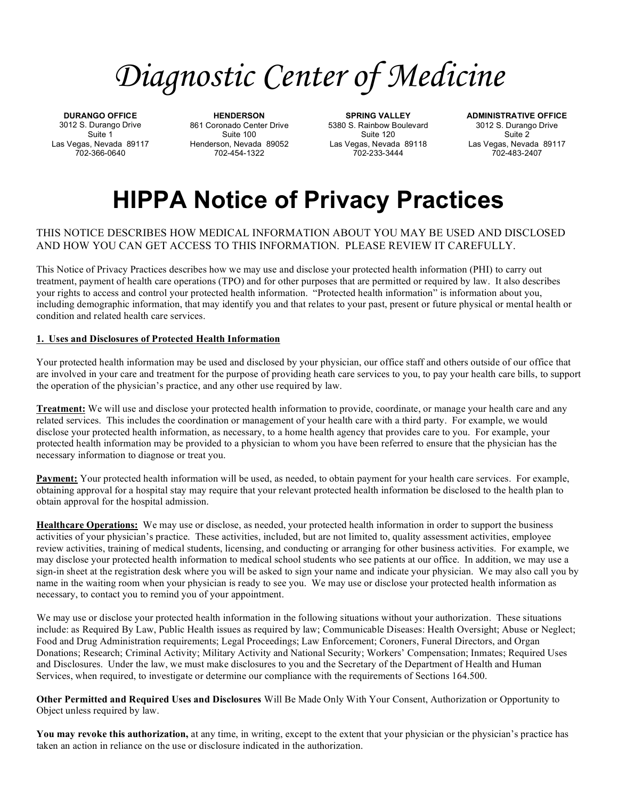# *Diagnostic Center of Medicine*

**DURANGO OFFICE**  3012 S. Durango Drive Suite 1 Las Vegas, Nevada 89117 702-366-0640

**HENDERSON** 861 Coronado Center Drive Suite 100 Henderson, Nevada 89052 702-454-1322

**SPRING VALLEY** 5380 S. Rainbow Boulevard Suite 120 Las Vegas, Nevada 89118 702-233-3444

**ADMINISTRATIVE OFFICE**  3012 S. Durango Drive Suite 2 Las Vegas, Nevada 89117 702-483-2407

# **HIPPA Notice of Privacy Practices**

# THIS NOTICE DESCRIBES HOW MEDICAL INFORMATION ABOUT YOU MAY BE USED AND DISCLOSED AND HOW YOU CAN GET ACCESS TO THIS INFORMATION. PLEASE REVIEW IT CAREFULLY.

This Notice of Privacy Practices describes how we may use and disclose your protected health information (PHI) to carry out treatment, payment of health care operations (TPO) and for other purposes that are permitted or required by law. It also describes your rights to access and control your protected health information. "Protected health information" is information about you, including demographic information, that may identify you and that relates to your past, present or future physical or mental health or condition and related health care services.

## **1. Uses and Disclosures of Protected Health Information**

Your protected health information may be used and disclosed by your physician, our office staff and others outside of our office that are involved in your care and treatment for the purpose of providing heath care services to you, to pay your health care bills, to support the operation of the physician's practice, and any other use required by law.

**Treatment:** We will use and disclose your protected health information to provide, coordinate, or manage your health care and any related services. This includes the coordination or management of your health care with a third party. For example, we would disclose your protected health information, as necessary, to a home health agency that provides care to you. For example, your protected health information may be provided to a physician to whom you have been referred to ensure that the physician has the necessary information to diagnose or treat you.

**Payment:** Your protected health information will be used, as needed, to obtain payment for your health care services. For example, obtaining approval for a hospital stay may require that your relevant protected health information be disclosed to the health plan to obtain approval for the hospital admission.

**Healthcare Operations:** We may use or disclose, as needed, your protected health information in order to support the business activities of your physician's practice. These activities, included, but are not limited to, quality assessment activities, employee review activities, training of medical students, licensing, and conducting or arranging for other business activities. For example, we may disclose your protected health information to medical school students who see patients at our office. In addition, we may use a sign-in sheet at the registration desk where you will be asked to sign your name and indicate your physician. We may also call you by name in the waiting room when your physician is ready to see you. We may use or disclose your protected health information as necessary, to contact you to remind you of your appointment.

We may use or disclose your protected health information in the following situations without your authorization. These situations include: as Required By Law, Public Health issues as required by law; Communicable Diseases: Health Oversight; Abuse or Neglect; Food and Drug Administration requirements; Legal Proceedings; Law Enforcement; Coroners, Funeral Directors, and Organ Donations; Research; Criminal Activity; Military Activity and National Security; Workers' Compensation; Inmates; Required Uses and Disclosures. Under the law, we must make disclosures to you and the Secretary of the Department of Health and Human Services, when required, to investigate or determine our compliance with the requirements of Sections 164.500.

**Other Permitted and Required Uses and Disclosures** Will Be Made Only With Your Consent, Authorization or Opportunity to Object unless required by law.

**You may revoke this authorization,** at any time, in writing, except to the extent that your physician or the physician's practice has taken an action in reliance on the use or disclosure indicated in the authorization.